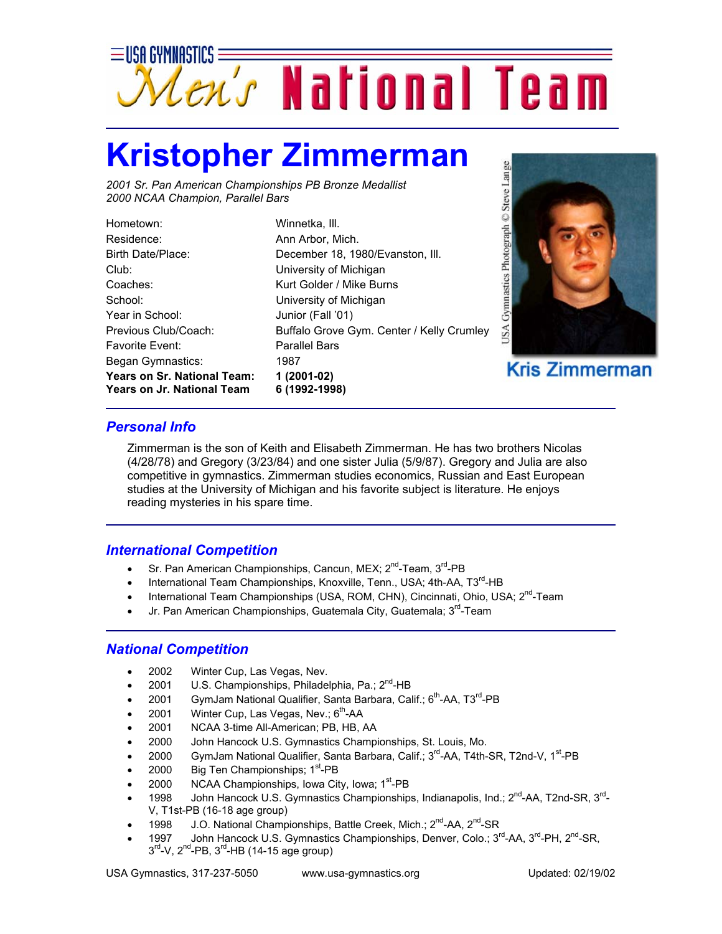

## **Kristopher Zimmerman**

*2001 Sr. Pan American Championships PB Bronze Medallist 2000 NCAA Champion, Parallel Bars*

| <b>Years on Sr. National Team:</b><br><b>Years on Jr. National Team</b> |
|-------------------------------------------------------------------------|
| Began Gymnastics:                                                       |
| <b>Favorite Fvent:</b>                                                  |
| Previous Club/Coach:                                                    |
| Year in School:                                                         |
| School:                                                                 |
| Coaches:                                                                |
| Club:                                                                   |
| Birth Date/Place:                                                       |
| Residence:                                                              |
| Hometown:                                                               |

Winnetka, III. Ann Arbor, Mich. December 18, 1980/Evanston, Ill. University of Michigan Kurt Golder / Mike Burns University of Michigan Junior (Fall '01) Buffalo Grove Gym. Center / Kelly Crumley Parallel Bars 1987 **Years on Sr. National Team: 1 (2001-02) Years on Jr. National Team 6 (1992-1998)**



**Kris Zimmerman** 

## *Personal Info*

Zimmerman is the son of Keith and Elisabeth Zimmerman. He has two brothers Nicolas (4/28/78) and Gregory (3/23/84) and one sister Julia (5/9/87). Gregory and Julia are also competitive in gymnastics. Zimmerman studies economics, Russian and East European studies at the University of Michigan and his favorite subject is literature. He enjoys reading mysteries in his spare time.

## *International Competition*

- Sr. Pan American Championships, Cancun, MEX;  $2^{nd}$ -Team,  $3^{rd}$ -PB
- International Team Championships, Knoxville, Tenn., USA; 4th-AA, T3<sup>rd</sup>-HB
- International Team Championships (USA, ROM, CHN), Cincinnati, Ohio, USA; 2<sup>nd</sup>-Team
- Jr. Pan American Championships, Guatemala City, Guatemala; 3<sup>rd</sup>-Team

## *National Competition*

- 2002 Winter Cup, Las Vegas, Nev.
- 2001 U.S. Championships, Philadelphia, Pa.; 2<sup>nd</sup>-HB
- 2001 GymJam National Qualifier, Santa Barbara, Calif.;  $6<sup>th</sup>$ -AA, T3<sup>rd</sup>-PB
- 2001 Winter Cup, Las Vegas, Nev.;  $6<sup>th</sup>$ -AA
- 2001 NCAA 3-time All-American; PB, HB, AA
- 2000 John Hancock U.S. Gymnastics Championships, St. Louis, Mo.
- 2000 GymJam National Qualifier, Santa Barbara, Calif.; 3<sup>rd</sup>-AA, T4th-SR, T2nd-V, 1<sup>st</sup>-PB
- 2000 Big Ten Championships; 1<sup>st</sup>-PB
- 2000 NCAA Championships, Iowa City, Iowa; 1<sup>st</sup>-PB
- 1998 John Hancock U.S. Gymnastics Championships, Indianapolis, Ind.; 2<sup>nd</sup>-AA, T2nd-SR, 3<sup>rd</sup>-V, T1st-PB (16-18 age group)
- 1998 J.O. National Championships, Battle Creek, Mich.; 2<sup>nd</sup>-AA, 2<sup>nd</sup>-SR
- 1997 John Hancock U.S. Gymnastics Championships, Denver, Colo.; 3<sup>rd</sup>-AA, 3<sup>rd</sup>-PH, 2<sup>nd</sup>-SR,  $3<sup>rd</sup>-V$ ,  $2<sup>nd</sup>-PB$ ,  $3<sup>rd</sup>-HB$  (14-15 age group)